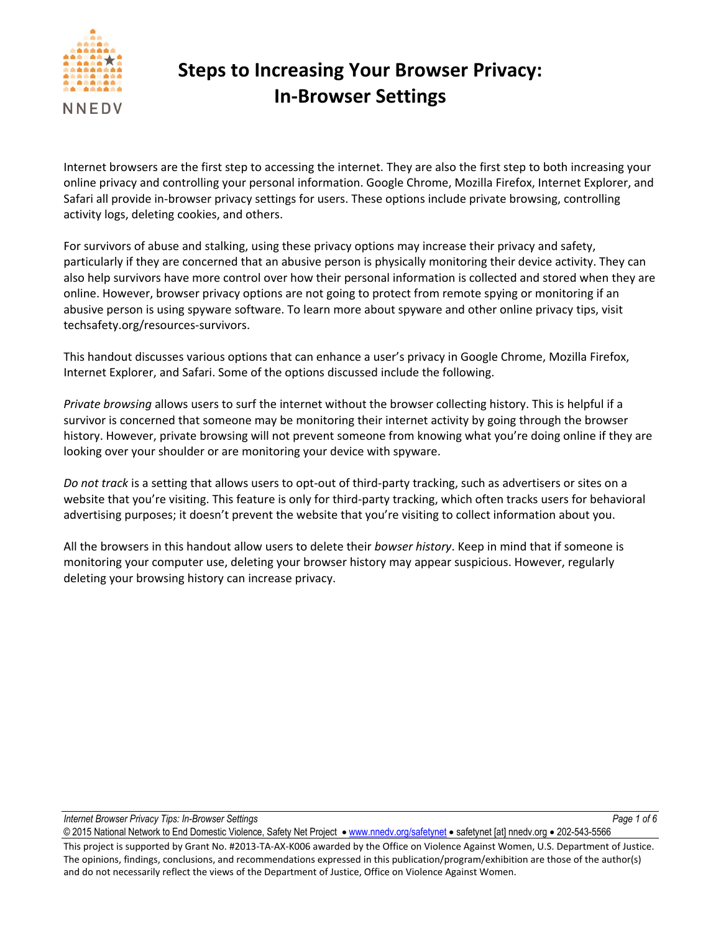

Internet browsers are the first step to accessing the internet. They are also the first step to both increasing your online privacy and controlling your personal information. Google Chrome, Mozilla Firefox, Internet Explorer, and Safari all provide in-browser privacy settings for users. These options include private browsing, controlling activity logs, deleting cookies, and others.

For survivors of abuse and stalking, using these privacy options may increase their privacy and safety, particularly if they are concerned that an abusive person is physically monitoring their device activity. They can also help survivors have more control over how their personal information is collected and stored when they are online. However, browser privacy options are not going to protect from remote spying or monitoring if an abusive person is using spyware software. To learn more about spyware and other online privacy tips, visit techsafety.org/resources-survivors.

This handout discusses various options that can enhance a user's privacy in Google Chrome, Mozilla Firefox, Internet Explorer, and Safari. Some of the options discussed include the following.

*Private browsing* allows users to surf the internet without the browser collecting history. This is helpful if a survivor is concerned that someone may be monitoring their internet activity by going through the browser history. However, private browsing will not prevent someone from knowing what you're doing online if they are looking over your shoulder or are monitoring your device with spyware.

*Do not track* is a setting that allows users to opt-out of third-party tracking, such as advertisers or sites on a website that you're visiting. This feature is only for third-party tracking, which often tracks users for behavioral advertising purposes; it doesn't prevent the website that you're visiting to collect information about you.

All the browsers in this handout allow users to delete their *bowser history*. Keep in mind that if someone is monitoring your computer use, deleting your browser history may appear suspicious. However, regularly deleting your browsing history can increase privacy.

*Internet Browser Privacy Tips: In-Browser Settings Page 1 of 6*

This project is supported by Grant No. #2013-TA-AX-K006 awarded by the Office on Violence Against Women, U.S. Department of Justice. The opinions, findings, conclusions, and recommendations expressed in this publication/program/exhibition are those of the author(s) and do not necessarily reflect the views of the Department of Justice, Office on Violence Against Women.

© 2015 National Network to End Domestic Violence, Safety Net Project • [www.nnedv.org/safetynet](http://www.nnedv.org/safetynet) • safetynet [at] nnedv.org • 202-543-5566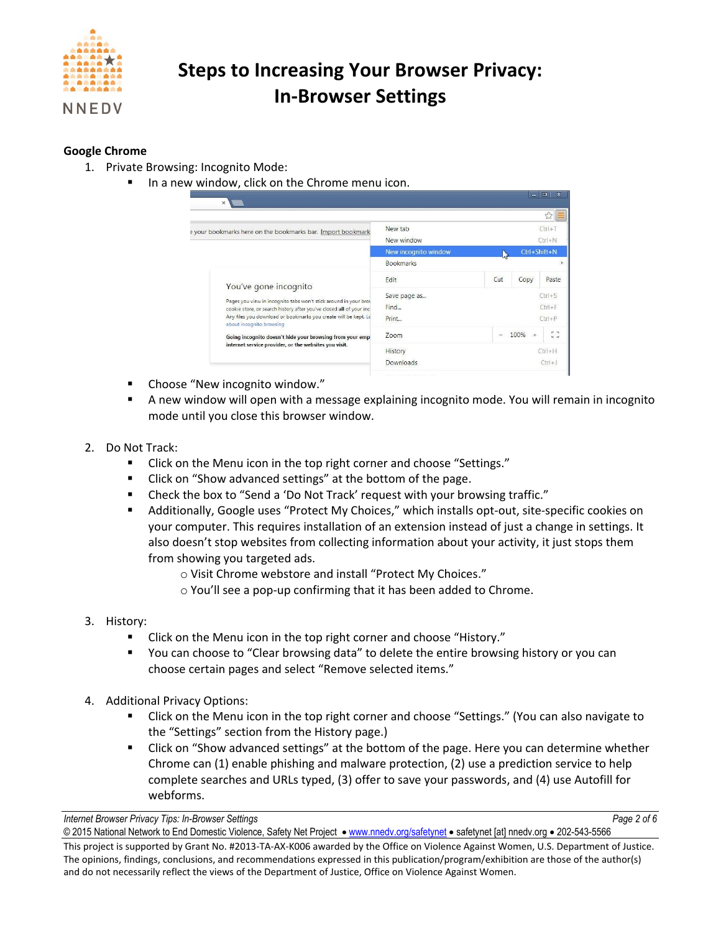

#### **Google Chrome**

- 1. Private Browsing: Incognito Mode:
	- In a new window, click on the Chrome menu icon.

| $\times$ N                                                                                                                                                                                                                                                                                                                                                                            |                                                                         |                          |              | ☆<br>Ξ                    |
|---------------------------------------------------------------------------------------------------------------------------------------------------------------------------------------------------------------------------------------------------------------------------------------------------------------------------------------------------------------------------------------|-------------------------------------------------------------------------|--------------------------|--------------|---------------------------|
| a your bookmarks here on the bookmarks bar. Import bookmark                                                                                                                                                                                                                                                                                                                           | New tab<br>New window                                                   | $Ctrl + T$<br>$Ctrl + N$ |              |                           |
| New incognito window                                                                                                                                                                                                                                                                                                                                                                  |                                                                         |                          | Ctrl+Shift+N |                           |
|                                                                                                                                                                                                                                                                                                                                                                                       | <b>Bookmarks</b>                                                        |                          |              |                           |
| You've gone incognito<br>Pages you view in incognito tabs won't stick around in your brow<br>cookie store, or search history after you've closed all of your incl<br>Any files you download or bookmarks you create will be kept. Le<br>about incognito browsing<br>Going incognito doesn't hide your browsing from your emp<br>internet service provider, or the websites you visit. | Edit                                                                    | Cut                      | Copy         | Paste                     |
|                                                                                                                                                                                                                                                                                                                                                                                       | $Ctrl + S$<br>Save page as<br>Find<br>$Ctrl + F$<br>Print<br>$Ctrl + P$ |                          |              |                           |
|                                                                                                                                                                                                                                                                                                                                                                                       | Zoom                                                                    |                          | $100\% +$    | $\mathbf{b}$ $\mathbf{d}$ |
|                                                                                                                                                                                                                                                                                                                                                                                       | History<br>Downloads                                                    | $Ctrl + H$<br>$Ctr +1$   |              |                           |

- Choose "New incognito window."
- A new window will open with a message explaining incognito mode. You will remain in incognito mode until you close this browser window.
- 2. Do Not Track:
	- **E** Click on the Menu icon in the top right corner and choose "Settings."
	- **EXECLICE ON "Show advanced settings" at the bottom of the page.**
	- Check the box to "Send a 'Do Not Track' request with your browsing traffic."
	- Additionally, Google uses "Protect My Choices," which installs opt-out, site-specific cookies on your computer. This requires installation of an extension instead of just a change in settings. It also doesn't stop websites from collecting information about your activity, it just stops them from showing you targeted ads.
		- o Visit Chrome webstore and install "Protect My Choices."
		- o You'll see a pop-up confirming that it has been added to Chrome.
- 3. History:
	- Click on the Menu icon in the top right corner and choose "History."
	- You can choose to "Clear browsing data" to delete the entire browsing history or you can choose certain pages and select "Remove selected items."
- 4. Additional Privacy Options:
	- **EXECLICK** On the Menu icon in the top right corner and choose "Settings." (You can also navigate to the "Settings" section from the History page.)
	- Click on "Show advanced settings" at the bottom of the page. Here you can determine whether Chrome can (1) enable phishing and malware protection, (2) use a prediction service to help complete searches and URLs typed, (3) offer to save your passwords, and (4) use Autofill for webforms.

*Internet Browser Privacy Tips: In-Browser Settings Page 2 of 6*

© 2015 National Network to End Domestic Violence, Safety Net Project · [www.nnedv.org/safetynet](http://www.nnedv.org/safetynet) · safetynet [at] nnedv.org · 202-543-5566

This project is supported by Grant No. #2013-TA-AX-K006 awarded by the Office on Violence Against Women, U.S. Department of Justice. The opinions, findings, conclusions, and recommendations expressed in this publication/program/exhibition are those of the author(s) and do not necessarily reflect the views of the Department of Justice, Office on Violence Against Women.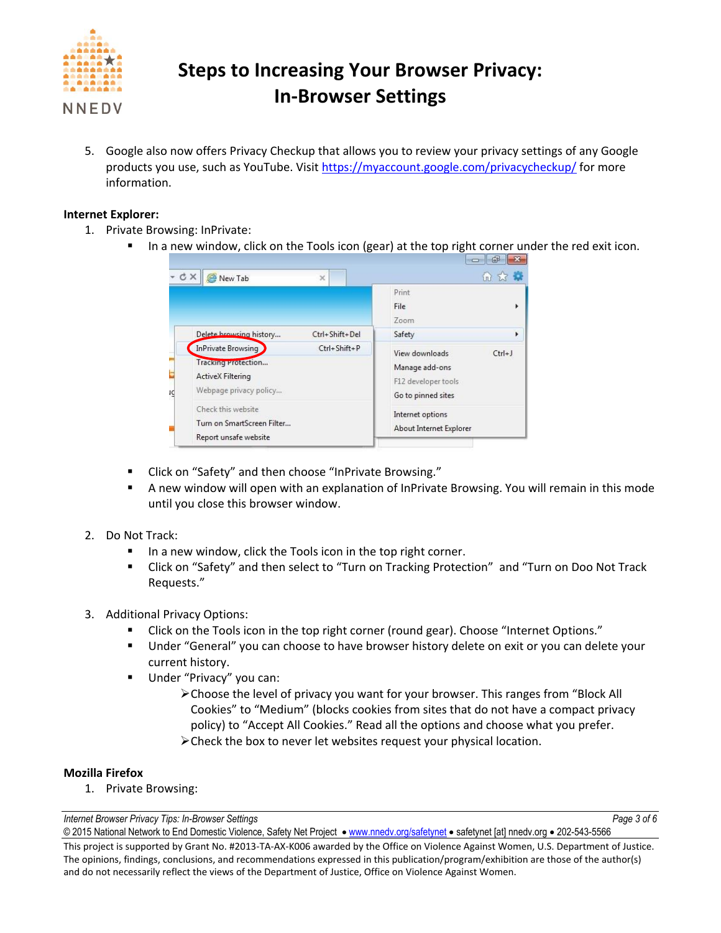

5. Google also now offers Privacy Checkup that allows you to review your privacy settings of any Google products you use, such as YouTube. Visit<https://myaccount.google.com/privacycheckup/> for more information.

#### **Internet Explorer:**

- 1. Private Browsing: InPrivate:
	- In a new window, click on the Tools icon (gear) at the top right corner under the red exit icon.

| <b>CX</b><br>New Tab                                                                                                                                   | $\times$           |                                                             | 命交易        |  |
|--------------------------------------------------------------------------------------------------------------------------------------------------------|--------------------|-------------------------------------------------------------|------------|--|
|                                                                                                                                                        |                    | Print<br>File<br>Zoom                                       |            |  |
| Delete browsing history                                                                                                                                | Ctrl+Shift+Del     | Safety                                                      |            |  |
| InPrivate Browsing                                                                                                                                     | $Ctrl + Shift + P$ | View downloads                                              | $Ctrl + J$ |  |
| Tracking Protection<br><b>ActiveX Filtering</b><br>Webpage privacy policy<br>Check this website<br>Turn on SmartScreen Filter<br>Report unsafe website |                    | Manage add-ons<br>F12 developer tools<br>Go to pinned sites |            |  |
|                                                                                                                                                        |                    | Internet options<br>About Internet Explorer                 |            |  |

- **E** Click on "Safety" and then choose "InPrivate Browsing."
- A new window will open with an explanation of InPrivate Browsing. You will remain in this mode until you close this browser window.
- 2. Do Not Track:
	- In a new window, click the Tools icon in the top right corner.
	- **EXECLICK ON "Safety" and then select to "Turn on Tracking Protection" and "Turn on Doo Not Track** Requests."
- 3. Additional Privacy Options:
	- Click on the Tools icon in the top right corner (round gear). Choose "Internet Options."
	- Under "General" you can choose to have browser history delete on exit or you can delete your current history.
	- **Under "Privacy" you can:** 
		- Choose the level of privacy you want for your browser. This ranges from "Block All Cookies" to "Medium" (blocks cookies from sites that do not have a compact privacy policy) to "Accept All Cookies." Read all the options and choose what you prefer.
		- Check the box to never let websites request your physical location.

#### **Mozilla Firefox**

1. Private Browsing:

*Internet Browser Privacy Tips: In-Browser Settings Page 3 of 6*

<sup>© 2015</sup> National Network to End Domestic Violence, Safety Net Project · [www.nnedv.org/safetynet](http://www.nnedv.org/safetynet) · safetynet [at] nnedv.org · 202-543-5566 This project is supported by Grant No. #2013-TA-AX-K006 awarded by the Office on Violence Against Women, U.S. Department of Justice. The opinions, findings, conclusions, and recommendations expressed in this publication/program/exhibition are those of the author(s) and do not necessarily reflect the views of the Department of Justice, Office on Violence Against Women.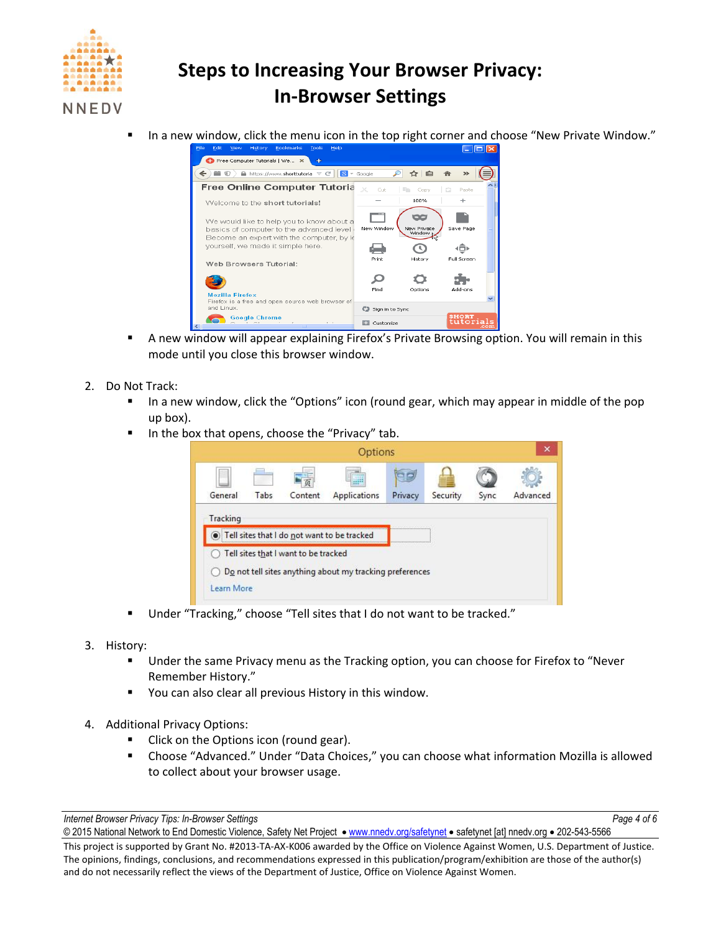

In a new window, click the menu icon in the top right corner and choose "New Private Window."



- A new window will appear explaining Firefox's Private Browsing option. You will remain in this mode until you close this browser window.
- 2. Do Not Track:
	- In a new window, click the "Options" icon (round gear, which may appear in middle of the pop up box).
	- In the box that opens, choose the "Privacy" tab.



- Under "Tracking," choose "Tell sites that I do not want to be tracked."
- 3. History:
	- Under the same Privacy menu as the Tracking option, you can choose for Firefox to "Never Remember History."
	- **•** You can also clear all previous History in this window.
- 4. Additional Privacy Options:
	- Click on the Options icon (round gear).
	- Choose "Advanced." Under "Data Choices," you can choose what information Mozilla is allowed to collect about your browser usage.

*Internet Browser Privacy Tips: In-Browser Settings Page 4 of 6*

<sup>© 2015</sup> National Network to End Domestic Violence, Safety Net Project . [www.nnedv.org/safetynet](http://www.nnedv.org/safetynet) . safetynet [at] nnedv.org . 202-543-5566 This project is supported by Grant No. #2013-TA-AX-K006 awarded by the Office on Violence Against Women, U.S. Department of Justice. The opinions, findings, conclusions, and recommendations expressed in this publication/program/exhibition are those of the author(s) and do not necessarily reflect the views of the Department of Justice, Office on Violence Against Women.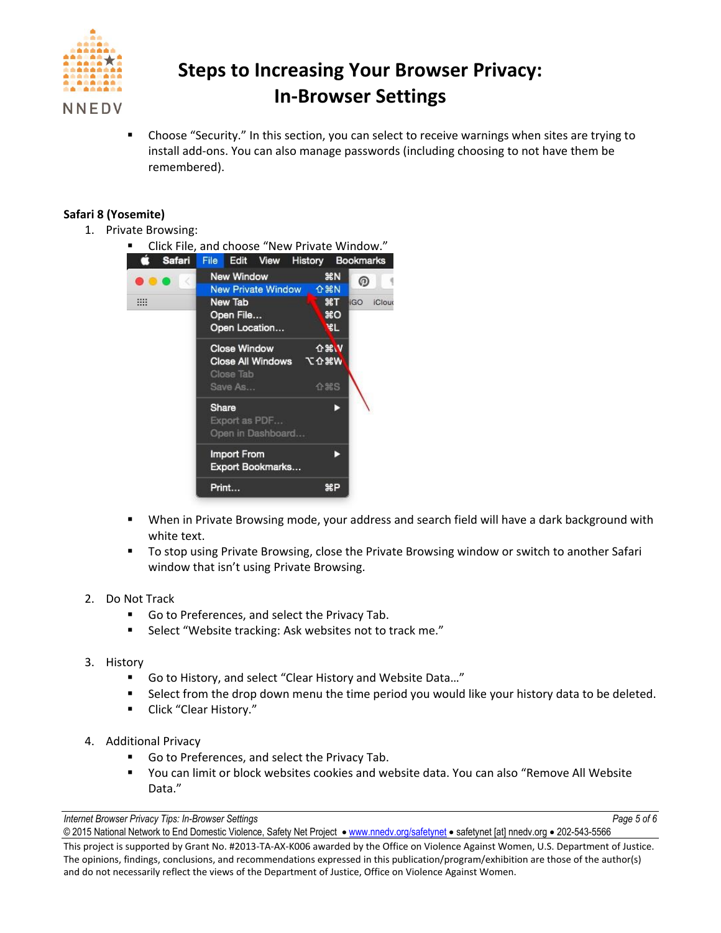

 Choose "Security." In this section, you can select to receive warnings when sites are trying to install add-ons. You can also manage passwords (including choosing to not have them be remembered).

### **Safari 8 (Yosemite)**

1. Private Browsing:



- When in Private Browsing mode, your address and search field will have a dark background with white text.
- To stop using Private Browsing, close the Private Browsing window or switch to another Safari window that isn't using Private Browsing.
- 2. Do Not Track
	- Go to Preferences, and select the Privacy Tab.
	- Select "Website tracking: Ask websites not to track me."
- 3. History
	- Go to History, and select "Clear History and Website Data…"
	- **Select from the drop down menu the time period you would like your history data to be deleted.**
	- **E** Click "Clear History."
- 4. Additional Privacy
	- Go to Preferences, and select the Privacy Tab.
	- You can limit or block websites cookies and website data. You can also "Remove All Website Data."

*Internet Browser Privacy Tips: In-Browser Settings Page 5 of 6*

<sup>© 2015</sup> National Network to End Domestic Violence, Safety Net Project · [www.nnedv.org/safetynet](http://www.nnedv.org/safetynet) · safetynet [at] nnedv.org · 202-543-5566 This project is supported by Grant No. #2013-TA-AX-K006 awarded by the Office on Violence Against Women, U.S. Department of Justice. The opinions, findings, conclusions, and recommendations expressed in this publication/program/exhibition are those of the author(s) and do not necessarily reflect the views of the Department of Justice, Office on Violence Against Women.